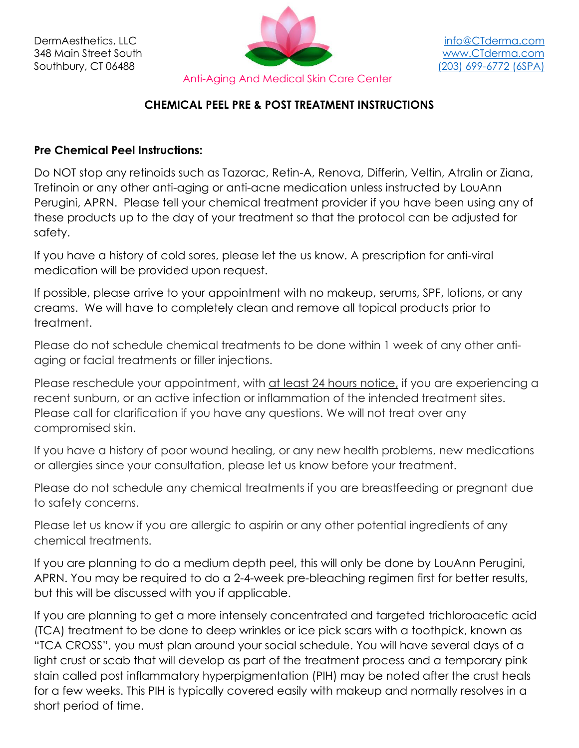

## **CHEMICAL PEEL PRE & POST TREATMENT INSTRUCTIONS**

### **Pre Chemical Peel Instructions:**

Do NOT stop any retinoids such as Tazorac, Retin-A, Renova, Differin, Veltin, Atralin or Ziana, Tretinoin or any other anti-aging or anti-acne medication unless instructed by LouAnn Perugini, APRN. Please tell your chemical treatment provider if you have been using any of these products up to the day of your treatment so that the protocol can be adjusted for safety.

If you have a history of cold sores, please let the us know. A prescription for anti-viral medication will be provided upon request.

If possible, please arrive to your appointment with no makeup, serums, SPF, lotions, or any creams. We will have to completely clean and remove all topical products prior to treatment.

Please do not schedule chemical treatments to be done within 1 week of any other antiaging or facial treatments or filler injections.

Please reschedule your appointment, with at least 24 hours notice, if you are experiencing a recent sunburn, or an active infection or inflammation of the intended treatment sites. Please call for clarification if you have any questions. We will not treat over any compromised skin.

If you have a history of poor wound healing, or any new health problems, new medications or allergies since your consultation, please let us know before your treatment.

Please do not schedule any chemical treatments if you are breastfeeding or pregnant due to safety concerns.

Please let us know if you are allergic to aspirin or any other potential ingredients of any chemical treatments.

If you are planning to do a medium depth peel, this will only be done by LouAnn Perugini, APRN. You may be required to do a 2-4-week pre-bleaching regimen first for better results, but this will be discussed with you if applicable.

If you are planning to get a more intensely concentrated and targeted trichloroacetic acid (TCA) treatment to be done to deep wrinkles or ice pick scars with a toothpick, known as "TCA CROSS", you must plan around your social schedule. You will have several days of a light crust or scab that will develop as part of the treatment process and a temporary pink stain called post inflammatory hyperpigmentation (PIH) may be noted after the crust heals for a few weeks. This PIH is typically covered easily with makeup and normally resolves in a short period of time.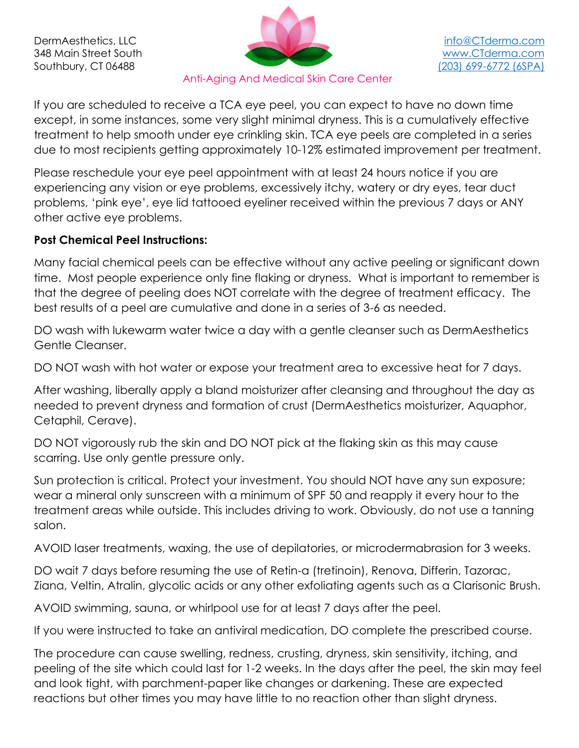DermAesthetics, LLC [info@CTderma.com](mailto:info@CTderma.com) 348 Main Street South [www.CTderma.com](file:///C:/Users/scott/Downloads/www.CTderma.com) Southbury, CT 06488 [\(203\) 699-6772 \(6SPA\)](tel:2036996772)



#### Anti-Aging And Medical Skin Care Center

If you are scheduled to receive a TCA eye peel, you can expect to have no down time except, in some instances, some very slight minimal dryness. This is a cumulatively effective treatment to help smooth under eye crinkling skin. TCA eye peels are completed in a series due to most recipients getting approximately 10-12% estimated improvement per treatment.

Please reschedule your eye peel appointment with at least 24 hours notice if you are experiencing any vision or eye problems, excessively itchy, watery or dry eyes, tear duct problems, 'pink eye', eye lid tattooed eyeliner received within the previous 7 days or ANY other active eye problems.

## **Post Chemical Peel Instructions:**

Many facial chemical peels can be effective without any active peeling or significant down time. Most people experience only fine flaking or dryness. What is important to remember is that the degree of peeling does NOT correlate with the degree of treatment efficacy. The best results of a peel are cumulative and done in a series of 3-6 as needed.

DO wash with lukewarm water twice a day with a gentle cleanser such as DermAesthetics Gentle Cleanser.

DO NOT wash with hot water or expose your treatment area to excessive heat for 7 days.

After washing, liberally apply a bland moisturizer after cleansing and throughout the day as needed to prevent dryness and formation of crust (DermAesthetics moisturizer, Aquaphor, Cetaphil, Cerave).

DO NOT vigorously rub the skin and DO NOT pick at the flaking skin as this may cause scarring. Use only gentle pressure only.

Sun protection is critical. Protect your investment. You should NOT have any sun exposure; wear a mineral only sunscreen with a minimum of SPF 50 and reapply it every hour to the treatment areas while outside. This includes driving to work. Obviously, do not use a tanning salon.

AVOID laser treatments, waxing, the use of depilatories, or microdermabrasion for 3 weeks.

DO wait 7 days before resuming the use of Retin-a (tretinoin), Renova, Differin, Tazorac, Ziana, Veltin, Atralin, glycolic acids or any other exfoliating agents such as a Clarisonic Brush.

AVOID swimming, sauna, or whirlpool use for at least 7 days after the peel.

If you were instructed to take an antiviral medication, DO complete the prescribed course.

The procedure can cause swelling, redness, crusting, dryness, skin sensitivity, itching, and peeling of the site which could last for 1-2 weeks. In the days after the peel, the skin may feel and look tight, with parchment-paper like changes or darkening. These are expected reactions but other times you may have little to no reaction other than slight dryness.